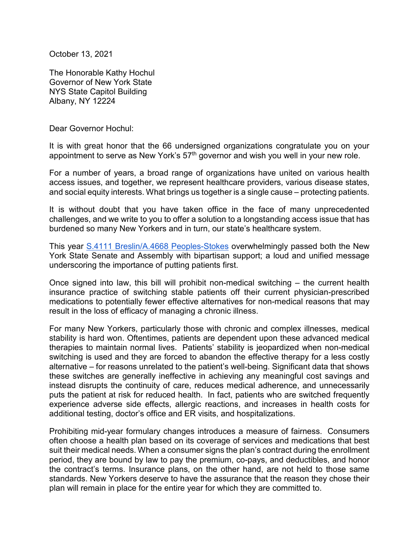October 13, 2021

The Honorable Kathy Hochul Governor of New York State NYS State Capitol Building Albany, NY 12224

Dear Governor Hochul:

It is with great honor that the 66 undersigned organizations congratulate you on your appointment to serve as New York's 57<sup>th</sup> governor and wish you well in your new role.

For a number of years, a broad range of organizations have united on various health access issues, and together, we represent healthcare providers, various disease states, and social equity interests. What brings us together is a single cause – protecting patients.

It is without doubt that you have taken office in the face of many unprecedented challenges, and we write to you to offer a solution to a longstanding access issue that has burdened so many New Yorkers and in turn, our state's healthcare system.

This year [S.4111 Breslin/A.4668 Peoples-Stokes](https://www.nysenate.gov/legislation/bills/2021/S4111) overwhelmingly passed both the New York State Senate and Assembly with bipartisan support; a loud and unified message underscoring the importance of putting patients first.

Once signed into law, this bill will prohibit non-medical switching – the current health insurance practice of switching stable patients off their current physician-prescribed medications to potentially fewer effective alternatives for non-medical reasons that may result in the loss of efficacy of managing a chronic illness.

For many New Yorkers, particularly those with chronic and complex illnesses, medical stability is hard won. Oftentimes, patients are dependent upon these advanced medical therapies to maintain normal lives. Patients' stability is jeopardized when non-medical switching is used and they are forced to abandon the effective therapy for a less costly alternative – for reasons unrelated to the patient's well-being. Significant data that shows these switches are generally ineffective in achieving any meaningful cost savings and instead disrupts the continuity of care, reduces medical adherence, and unnecessarily puts the patient at risk for reduced health. In fact, patients who are switched frequently experience adverse side effects, allergic reactions, and increases in health costs for additional testing, doctor's office and ER visits, and hospitalizations.

Prohibiting mid-year formulary changes introduces a measure of fairness. Consumers often choose a health plan based on its coverage of services and medications that best suit their medical needs. When a consumer signs the plan's contract during the enrollment period, they are bound by law to pay the premium, co-pays, and deductibles, and honor the contract's terms. Insurance plans, on the other hand, are not held to those same standards. New Yorkers deserve to have the assurance that the reason they chose their plan will remain in place for the entire year for which they are committed to.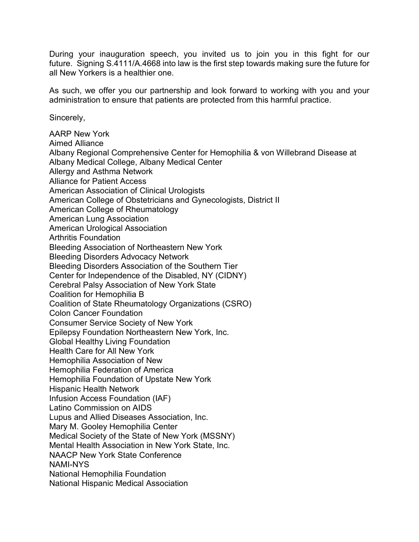During your inauguration speech, you invited us to join you in this fight for our future. Signing S.4111/A.4668 into law is the first step towards making sure the future for all New Yorkers is a healthier one.

As such, we offer you our partnership and look forward to working with you and your administration to ensure that patients are protected from this harmful practice.

Sincerely,

AARP New York Aimed Alliance Albany Regional Comprehensive Center for Hemophilia & von Willebrand Disease at Albany Medical College, Albany Medical Center Allergy and Asthma Network Alliance for Patient Access American Association of Clinical Urologists American College of Obstetricians and Gynecologists, District II American College of Rheumatology American Lung Association American Urological Association Arthritis Foundation Bleeding Association of Northeastern New York Bleeding Disorders Advocacy Network Bleeding Disorders Association of the Southern Tier Center for Independence of the Disabled, NY (CIDNY) Cerebral Palsy Association of New York State Coalition for Hemophilia B Coalition of State Rheumatology Organizations (CSRO) Colon Cancer Foundation Consumer Service Society of New York Epilepsy Foundation Northeastern New York, Inc. Global Healthy Living Foundation Health Care for All New York Hemophilia Association of New Hemophilia Federation of America Hemophilia Foundation of Upstate New York Hispanic Health Network Infusion Access Foundation (IAF) Latino Commission on AIDS Lupus and Allied Diseases Association, Inc. Mary M. Gooley Hemophilia Center Medical Society of the State of New York (MSSNY) Mental Health Association in New York State, Inc. NAACP New York State Conference NAMI-NYS National Hemophilia Foundation National Hispanic Medical Association